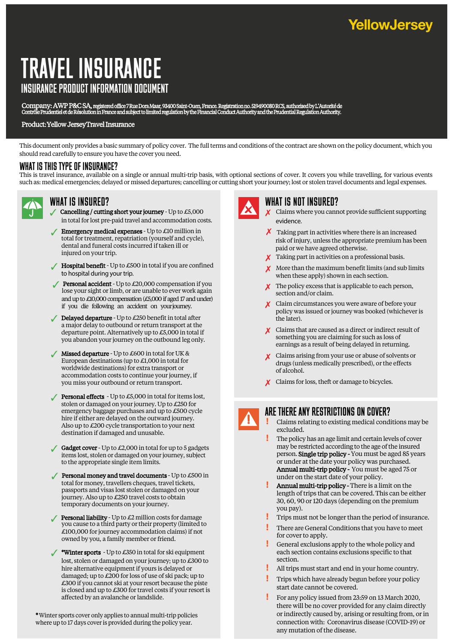# TRAVEL INSURANCE INSURANCE PRODUCT INFORMATION DOCUMENT

Company: AWP P&C SA, registered office 7 Rue Dora Maar, 93400 Saint-Ouen, France. Registration no. 519490080 RCS, authorised by L'Autorité de<br>Contrôle Prudentiel et de Résolution in France and subject to limited regulation

#### Product: Yellow Jersey Travel Insurance

This document only provides a basic summary of policy cover. The full terms and conditions of the contract are shown on the policy document, which you should read carefully to ensure you have the cover you need.

# WHAT IS THIS TYPE OF INSURANCE?

This is travel insurance, available on a single or annual multi-trip basis, with optional sections of cover. It covers you while travelling, for various events such as: medical emergencies; delayed or missed departures; cancelling or cutting short your journey; lost or stolen travel documents and legal expenses.



### wHAT IS INSURED?

- Cancelling / cutting short your journey Up to  $£5,000$ in total for lost pre-paid travel and accommodation costs.
- **Emergency medical expenses** Up to  $\pounds$ 10 million in total for treatment, repatriation (yourself and cycle), dental and funeral costs incurred if taken ill or injured on your trip.
- $\sqrt{\phantom{a}}$  Hospital benefit Up to £500 in total if you are confined to hospital during your trip.
- **Personal accident** Up to  $\pounds20,000$  compensation if you lose your sight or limb, or are unable to ever work again and up to £10,000 compensation (£5,000 if aged 17 and under) if you die following an accident on your journey.
- $\angle$  Delayed departure Up to £250 benefit in total after a major delay to outbound or return transport at the departure point. Alternatively up to £5,000 in total if you abandon your journey on the outbound leg only.
- $\sqrt{\phantom{a}}$  Missed departure Up to £600 in total for UK & European destinations (up to £1,000 in total for worldwide destinations) for extra transport or accommodation costs to continue your journey, if you miss your outbound or return transport.
- **Personal effects** Up to  $\pounds5,000$  in total for items lost, stolen or damaged on your journey. Up to £250 for emergency baggage purchases and up to £500 cycle hire if either are delayed on the outward journey. Also up to £200 cycle transportation to your next destination if damaged and unusable.
- Gadget cover Up to  $\text{\pounds}2,000$  in total for up to 5 gadgets items lost, stolen or damaged on your journey, subject to the appropriate single item limits.
- $\sqrt{\ }$  Personal money and travel documents Up to £500 in total for money, travellers cheques, travel tickets, passports and visas lost stolen or damaged on your journey. Also up to £250 travel costs to obtain temporary documents on your journey.
- **Personal liability** Up to  $\pounds 2$  million costs for damage you cause to a third party or their property (limited to £100,000 for journey accommodation claims) if not owned by you, a family member or friend.
- \*Winter sports Up to £350 in total for ski equipment lost, stolen or damaged on your journey; up to £300 to hire alternative equipment if yours is delayed or damaged; up to  $\mathcal{L}200$  for loss of use of ski pack; up to £300 if you cannot ski at your resort because the piste is closed and up to £300 for travel costs if your resort is affected by an avalanche or landslide.

\*Winter sports cover only applies to annual multi-trip policies where up to 17 days cover is provided during the policy year.



## wHAT IS NOT INSURED?

- 7 Claims where you cannot provide sufficient supporting evidence.
- $\chi$  Taking part in activities where there is an increased risk of injury, unless the appropriate premium has been paid or we have agreed otherwise.
- 7 Taking part in activities on a professional basis.
- $\boldsymbol{X}$  More than the maximum benefit limits (and sub limits when these apply) shown in each section.
- $\boldsymbol{\chi}$  The policy excess that is applicable to each person, section and/or claim.
- X Claim circumstances you were aware of before your policy was issued or journey was booked (whichever is the later).
- X Claims that are caused as a direct or indirect result of something you are claiming for such as loss of earnings as a result of being delayed in returning.
- X Claims arising from your use or abuse of solvents or drugs (unless medically prescribed), or the effects of alcohol.
- X Claims for loss, theft or damage to bicycles.

# ARE THERE ANY RESTRICTIONS ON COVER?

- **!** Claims relating to existing medical conditions may be excluded.
- **!** The policy has an age limit and certain levels of cover may be restricted according to the age of the insured person. Single trip policy - You must be aged 85 years or under at the date your policy was purchased. Annual multi-trip policy - You must be aged 75 or under on the start date of your policy.
- **!** Annual multi-trip policy There is a limit on the length of trips that can be covered. This can be either 30, 60, 90 or 120 days (depending on the premium you pay).
- **!** Trips must not be longer than the period of insurance.
- **!** There are General Conditions that you have to meet for cover to apply.
- **!** General exclusions apply to the whole policy and each section contains exclusions specific to that section.
- **!** All trips must start and end in your home country.
- **!** Trips which have already begun before your policy start date cannot be covered.
- **!** For any policy issued from 23:59 on 13 March 2020, there will be no cover provided for any claim directly or indirectly caused by, arising or resulting from, or in connection with: Coronavirus disease (COVID-19) or any mutation of the disease.